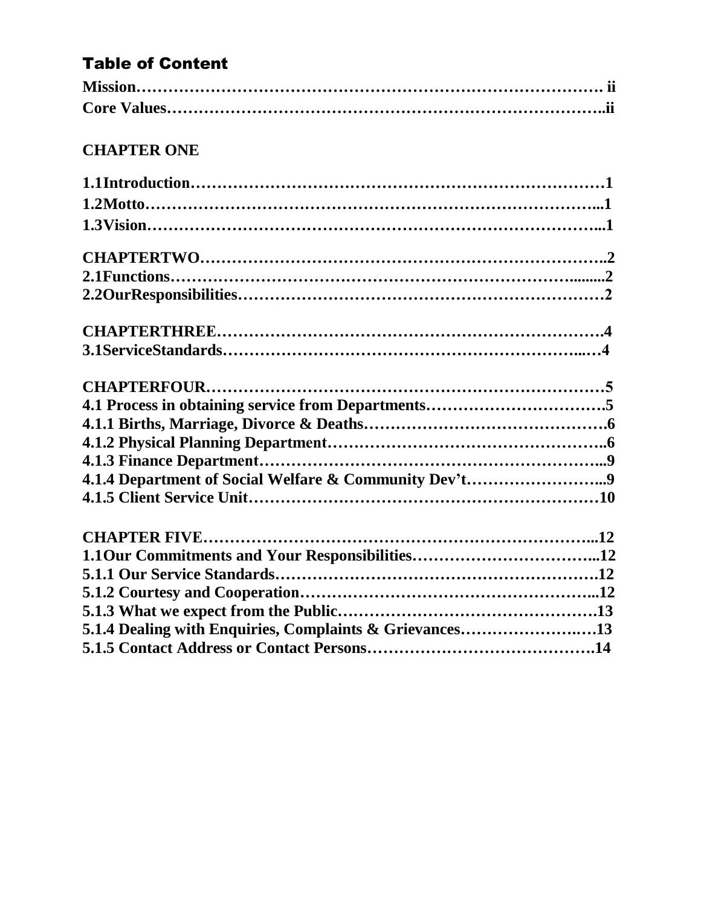# Table of Content

# **CHAPTER ONE**

| 5.1.4 Dealing with Enquiries, Complaints & Grievances13 |  |
|---------------------------------------------------------|--|
|                                                         |  |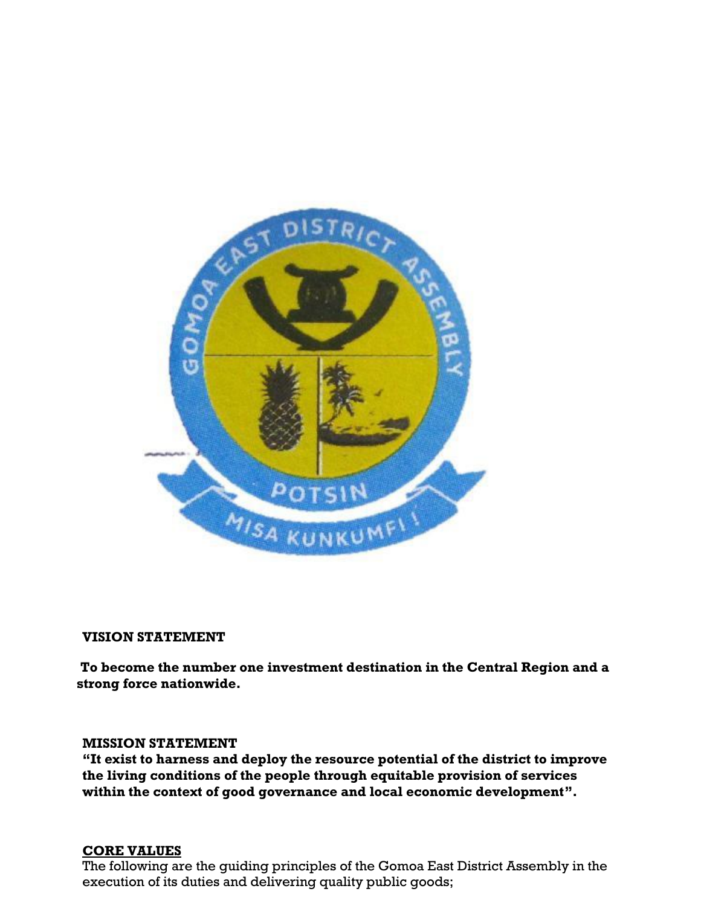

#### **VISION STATEMENT**

**To become the number one investment destination in the Central Region and a strong force nationwide.**

#### **MISSION STATEMENT**

**"It exist to harness and deploy the resource potential of the district to improve the living conditions of the people through equitable provision of services within the context of good governance and local economic development".**

### **CORE VALUES**

The following are the guiding principles of the Gomoa East District Assembly in the execution of its duties and delivering quality public goods;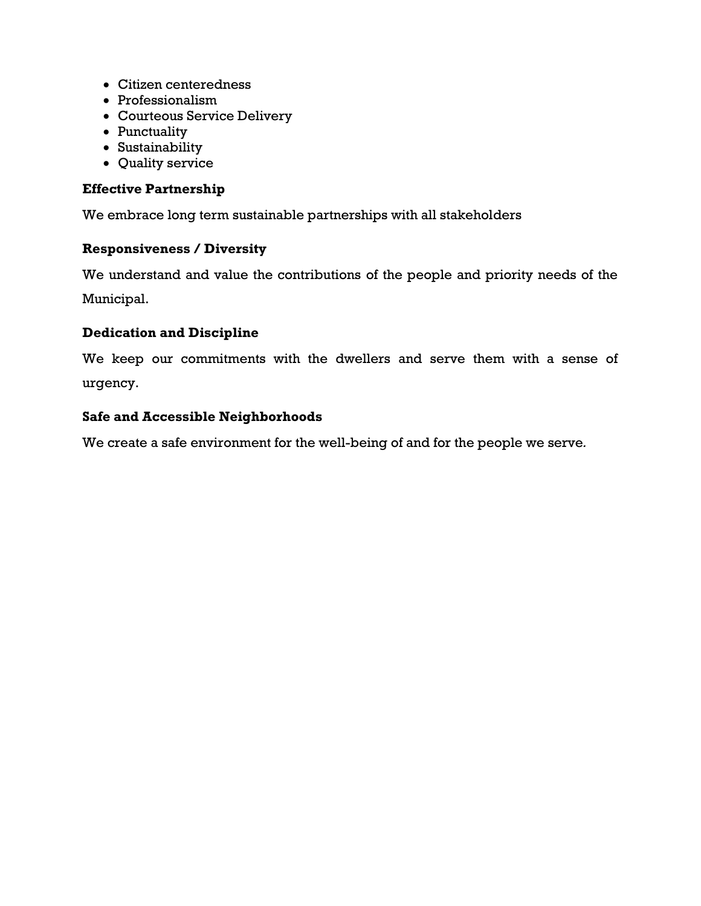- Citizen centeredness
- Professionalism
- Courteous Service Delivery
- Punctuality
- Sustainability
- Quality service

### **Effective Partnership**

We embrace long term sustainable partnerships with all stakeholders

### **Responsiveness / Diversity**

We understand and value the contributions of the people and priority needs of the Municipal.

### **Dedication and Discipline**

We keep our commitments with the dwellers and serve them with a sense of urgency.

#### **Safe and Accessible Neighborhoods**

We create a safe environment for the well-being of and for the people we serve*.*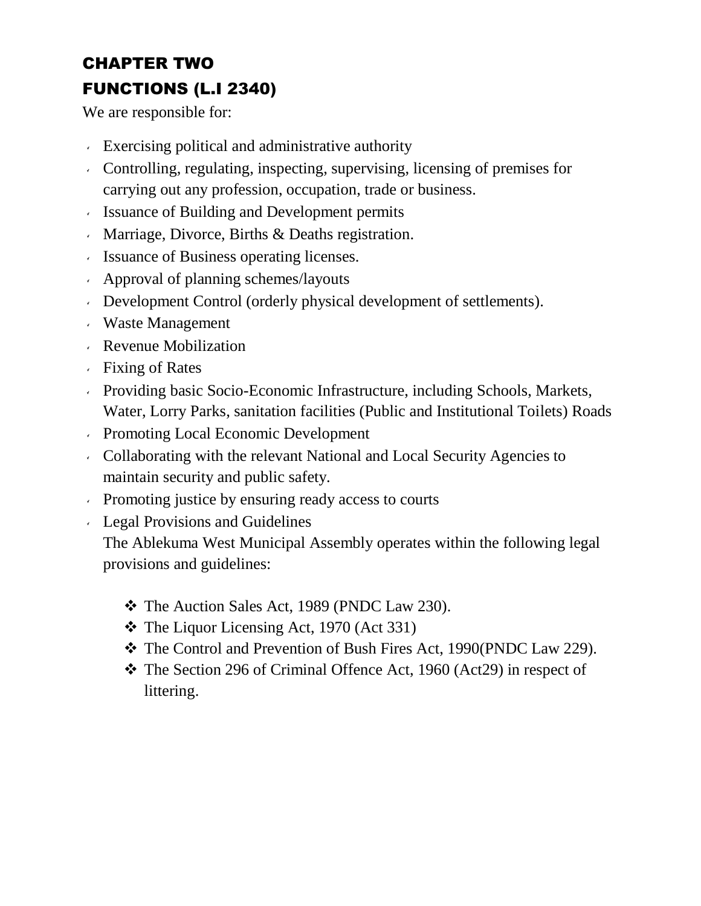# CHAPTER TWO FUNCTIONS (L.I 2340)

We are responsible for:

- Exercising political and administrative authority
- Controlling, regulating, inspecting, supervising, licensing of premises for carrying out any profession, occupation, trade or business.
- Issuance of Building and Development permits
- Marriage, Divorce, Births & Deaths registration.
- Issuance of Business operating licenses.
- Approval of planning schemes/layouts
- Development Control (orderly physical development of settlements).
- Waste Management
- Revenue Mobilization
- Fixing of Rates
- Providing basic Socio-Economic Infrastructure, including Schools, Markets, Water, Lorry Parks, sanitation facilities (Public and Institutional Toilets) Roads
- Promoting Local Economic Development
- Collaborating with the relevant National and Local Security Agencies to maintain security and public safety.
- Promoting justice by ensuring ready access to courts
- Legal Provisions and Guidelines

The Ablekuma West Municipal Assembly operates within the following legal provisions and guidelines:

- \* The Auction Sales Act, 1989 (PNDC Law 230).
- $\div$  The Liquor Licensing Act, 1970 (Act 331)
- The Control and Prevention of Bush Fires Act, 1990(PNDC Law 229).
- \* The Section 296 of Criminal Offence Act, 1960 (Act29) in respect of littering.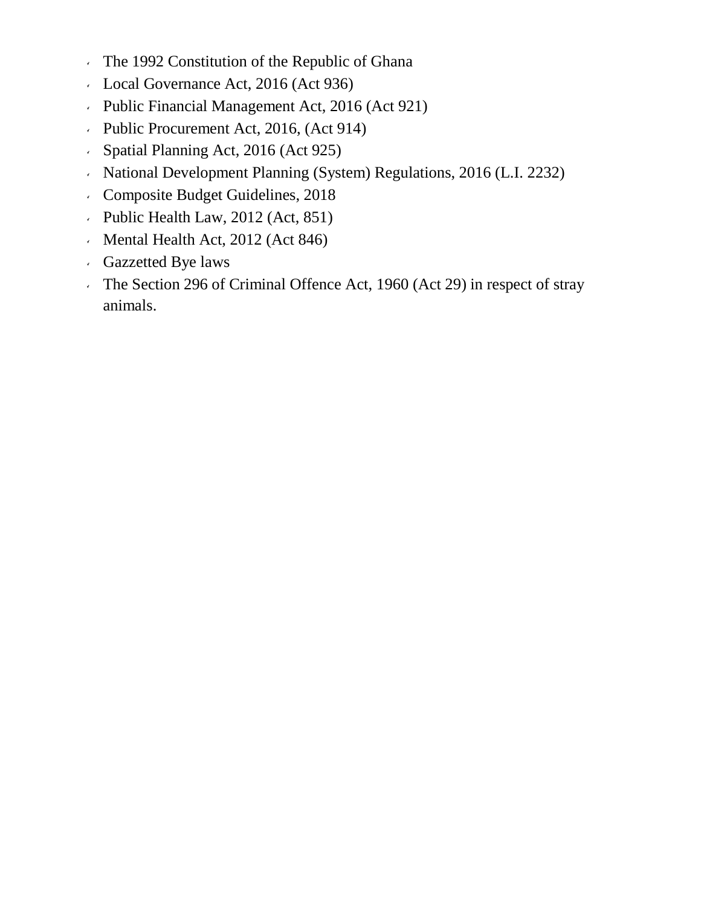- The 1992 Constitution of the Republic of Ghana
- Local Governance Act, 2016 (Act 936)
- Public Financial Management Act, 2016 (Act 921)
- Public Procurement Act, 2016, (Act 914)
- Spatial Planning Act, 2016 (Act 925)
- National Development Planning (System) Regulations, 2016 (L.I. 2232)
- Composite Budget Guidelines, 2018
- $\cdot$  Public Health Law, 2012 (Act, 851)
- Mental Health Act, 2012 (Act 846)
- Gazzetted Bye laws
- The Section 296 of Criminal Offence Act, 1960 (Act 29) in respect of stray animals.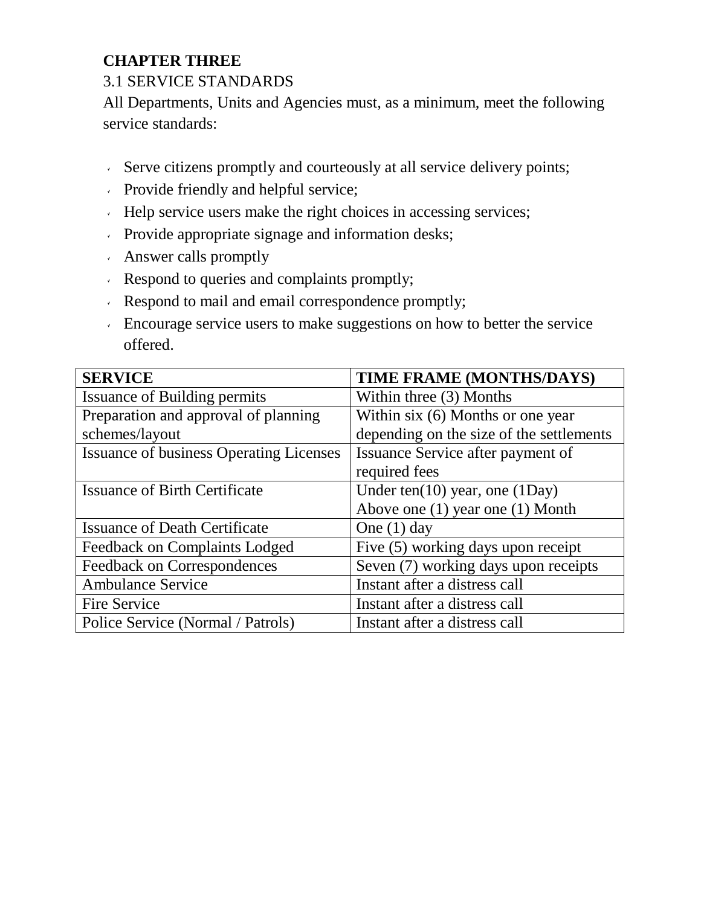# **CHAPTER THREE**

### 3.1 SERVICE STANDARDS

All Departments, Units and Agencies must, as a minimum, meet the following service standards:

- Serve citizens promptly and courteously at all service delivery points;
- Provide friendly and helpful service;
- Help service users make the right choices in accessing services;
- Provide appropriate signage and information desks;
- Answer calls promptly
- Respond to queries and complaints promptly;
- Respond to mail and email correspondence promptly;
- Encourage service users to make suggestions on how to better the service offered.

| <b>SERVICE</b>                                 | TIME FRAME (MONTHS/DAYS)                 |
|------------------------------------------------|------------------------------------------|
| <b>Issuance of Building permits</b>            | Within three (3) Months                  |
| Preparation and approval of planning           | Within six (6) Months or one year        |
| schemes/layout                                 | depending on the size of the settlements |
| <b>Issuance of business Operating Licenses</b> | Issuance Service after payment of        |
|                                                | required fees                            |
| <b>Issuance of Birth Certificate</b>           | Under ten(10) year, one (1Day)           |
|                                                | Above one (1) year one (1) Month         |
| <b>Issuance of Death Certificate</b>           | One $(1)$ day                            |
| Feedback on Complaints Lodged                  | Five (5) working days upon receipt       |
| Feedback on Correspondences                    | Seven (7) working days upon receipts     |
| <b>Ambulance Service</b>                       | Instant after a distress call            |
| Fire Service                                   | Instant after a distress call            |
| Police Service (Normal / Patrols)              | Instant after a distress call            |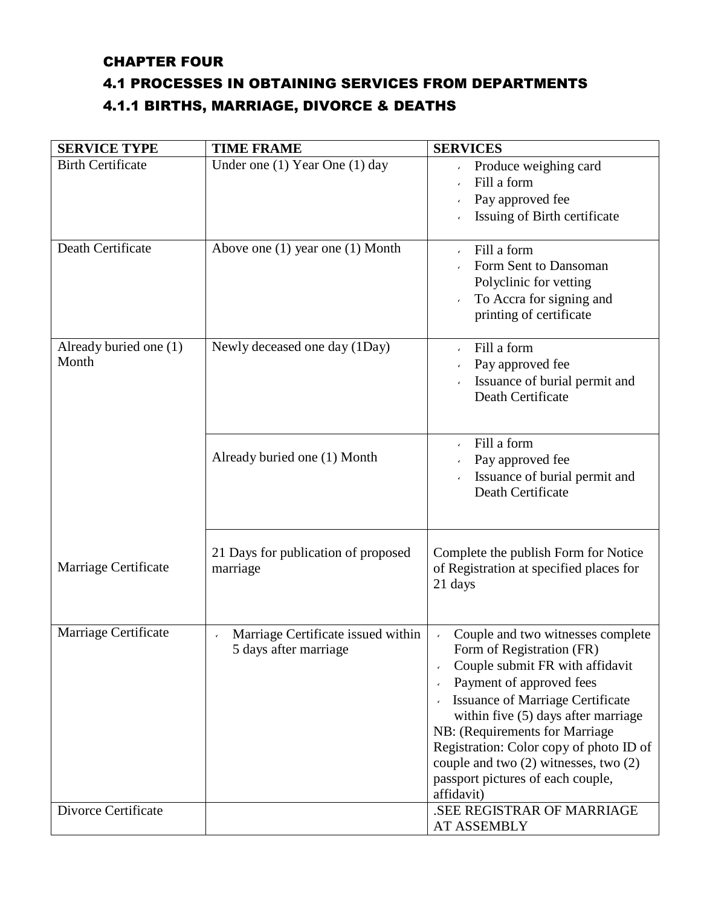### CHAPTER FOUR

### 4.1 PROCESSES IN OBTAINING SERVICES FROM DEPARTMENTS

## 4.1.1 BIRTHS, MARRIAGE, DIVORCE & DEATHS

| <b>SERVICE TYPE</b>             | <b>TIME FRAME</b>                                                           | <b>SERVICES</b>                                                                                                                                                                                                                                                                                                                                                                          |
|---------------------------------|-----------------------------------------------------------------------------|------------------------------------------------------------------------------------------------------------------------------------------------------------------------------------------------------------------------------------------------------------------------------------------------------------------------------------------------------------------------------------------|
| <b>Birth Certificate</b>        | Under one (1) Year One (1) day                                              | Produce weighing card<br>Fill a form<br>Pay approved fee<br>Issuing of Birth certificate                                                                                                                                                                                                                                                                                                 |
| Death Certificate               | Above one $(1)$ year one $(1)$ Month                                        | Fill a form<br>Form Sent to Dansoman<br>Polyclinic for vetting<br>To Accra for signing and<br>printing of certificate                                                                                                                                                                                                                                                                    |
| Already buried one (1)<br>Month | Newly deceased one day (1Day)                                               | Fill a form<br>Pay approved fee<br>Issuance of burial permit and<br>Death Certificate                                                                                                                                                                                                                                                                                                    |
|                                 | Already buried one (1) Month                                                | Fill a form<br>Pay approved fee<br>Issuance of burial permit and<br>Death Certificate                                                                                                                                                                                                                                                                                                    |
| Marriage Certificate            | 21 Days for publication of proposed<br>marriage                             | Complete the publish Form for Notice<br>of Registration at specified places for<br>21 days                                                                                                                                                                                                                                                                                               |
| Marriage Certificate            | Marriage Certificate issued within<br>$\checkmark$<br>5 days after marriage | Couple and two witnesses complete<br>Form of Registration (FR)<br>Couple submit FR with affidavit<br>Payment of approved fees<br><b>Issuance of Marriage Certificate</b><br>within five (5) days after marriage<br>NB: (Requirements for Marriage<br>Registration: Color copy of photo ID of<br>couple and two (2) witnesses, two (2)<br>passport pictures of each couple,<br>affidavit) |
| Divorce Certificate             |                                                                             | SEE REGISTRAR OF MARRIAGE<br>AT ASSEMBLY                                                                                                                                                                                                                                                                                                                                                 |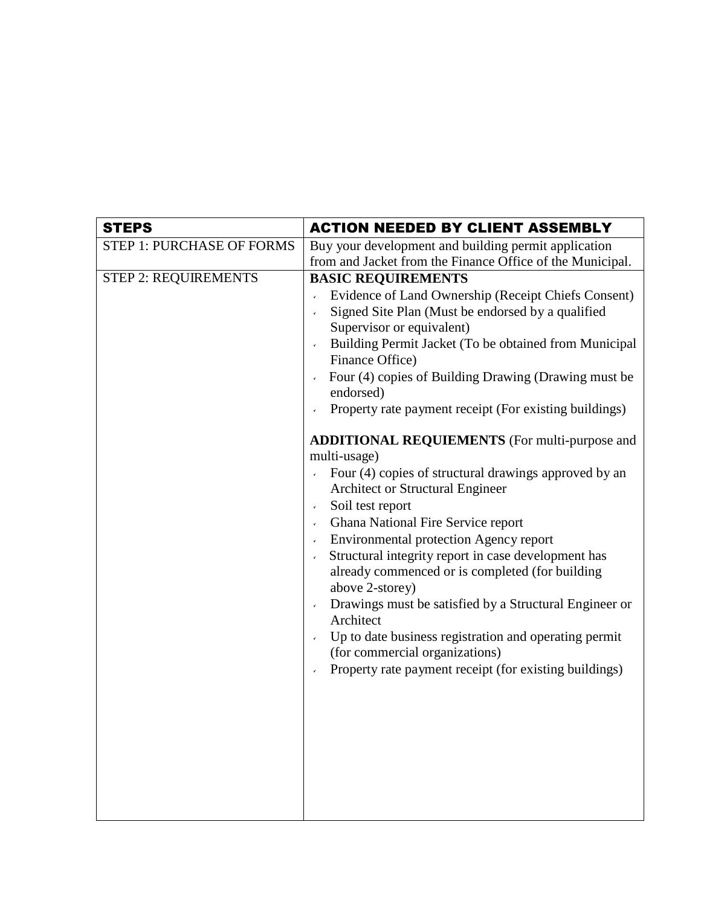| <b>STEPS</b>                     | <b>ACTION NEEDED BY CLIENT ASSEMBLY</b>                                                                                                                                                                                                                                                                                                                                                                                                                                                                                                                                                                                                                                                                      |
|----------------------------------|--------------------------------------------------------------------------------------------------------------------------------------------------------------------------------------------------------------------------------------------------------------------------------------------------------------------------------------------------------------------------------------------------------------------------------------------------------------------------------------------------------------------------------------------------------------------------------------------------------------------------------------------------------------------------------------------------------------|
| <b>STEP 1: PURCHASE OF FORMS</b> | Buy your development and building permit application<br>from and Jacket from the Finance Office of the Municipal.                                                                                                                                                                                                                                                                                                                                                                                                                                                                                                                                                                                            |
| <b>STEP 2: REQUIREMENTS</b>      | <b>BASIC REQUIREMENTS</b><br>Evidence of Land Ownership (Receipt Chiefs Consent)<br>$\bar{\mathbf{v}}$<br>Signed Site Plan (Must be endorsed by a qualified<br>Supervisor or equivalent)<br>Building Permit Jacket (To be obtained from Municipal<br>Finance Office)<br>Four (4) copies of Building Drawing (Drawing must be<br>endorsed)<br>Property rate payment receipt (For existing buildings)                                                                                                                                                                                                                                                                                                          |
|                                  | <b>ADDITIONAL REQUIEMENTS</b> (For multi-purpose and<br>multi-usage)<br>Four (4) copies of structural drawings approved by an<br>Architect or Structural Engineer<br>Soil test report<br>$\mathbf{v}$<br>Ghana National Fire Service report<br>$\mathbf{v}^{\top}$<br><b>Environmental protection Agency report</b><br>$\mathbf{v}$<br>Structural integrity report in case development has<br>$\mathbf{v}$<br>already commenced or is completed (for building<br>above 2-storey)<br>Drawings must be satisfied by a Structural Engineer or<br>Architect<br>Up to date business registration and operating permit<br>(for commercial organizations)<br>Property rate payment receipt (for existing buildings) |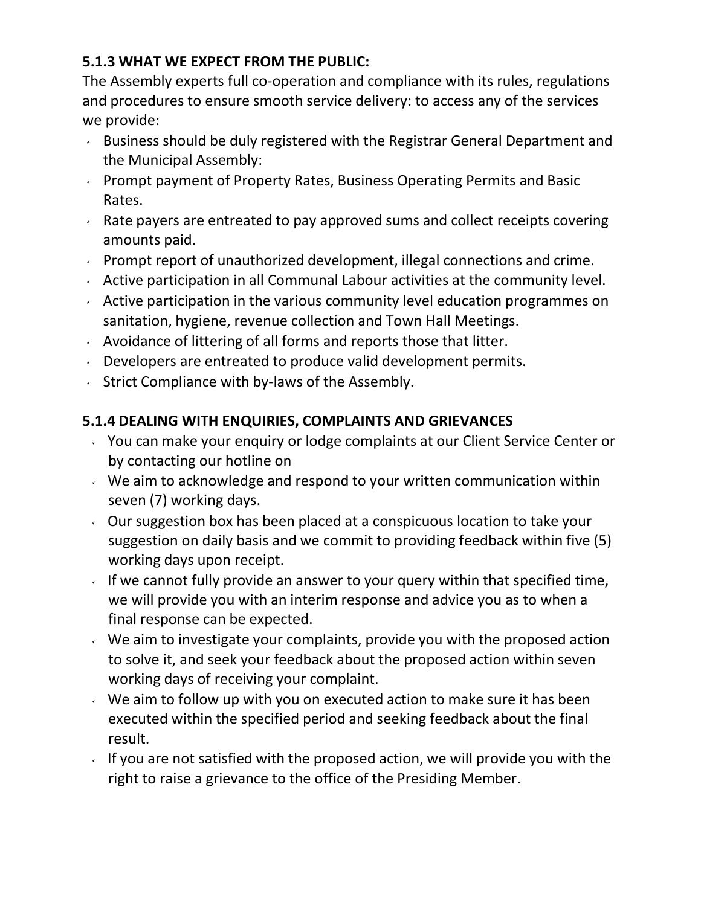## **5.1.3 WHAT WE EXPECT FROM THE PUBLIC:**

The Assembly experts full co-operation and compliance with its rules, regulations and procedures to ensure smooth service delivery: to access any of the services we provide:

- Business should be duly registered with the Registrar General Department and the Municipal Assembly:
- **Prompt payment of Property Rates, Business Operating Permits and Basic** Rates.
- $\overline{R}$  Rate payers are entreated to pay approved sums and collect receipts covering amounts paid.
- **Prompt report of unauthorized development, illegal connections and crime.**
- Active participation in all Communal Labour activities at the community level.
- $\sim$  Active participation in the various community level education programmes on sanitation, hygiene, revenue collection and Town Hall Meetings.
- $\sim$  Avoidance of littering of all forms and reports those that litter.
- Developers are entreated to produce valid development permits.
- $\sim$  Strict Compliance with by-laws of the Assembly.

# **5.1.4 DEALING WITH ENQUIRIES, COMPLAINTS AND GRIEVANCES**

- You can make your enquiry or lodge complaints at our Client Service Center or by contacting our hotline on
- $\vee$  We aim to acknowledge and respond to your written communication within seven (7) working days.
- $\sim$  Our suggestion box has been placed at a conspicuous location to take your suggestion on daily basis and we commit to providing feedback within five (5) working days upon receipt.
- If we cannot fully provide an answer to your query within that specified time, we will provide you with an interim response and advice you as to when a final response can be expected.
- $\vee$  We aim to investigate your complaints, provide you with the proposed action to solve it, and seek your feedback about the proposed action within seven working days of receiving your complaint.
- $\vee$  We aim to follow up with you on executed action to make sure it has been executed within the specified period and seeking feedback about the final result.
- If you are not satisfied with the proposed action, we will provide you with the right to raise a grievance to the office of the Presiding Member.